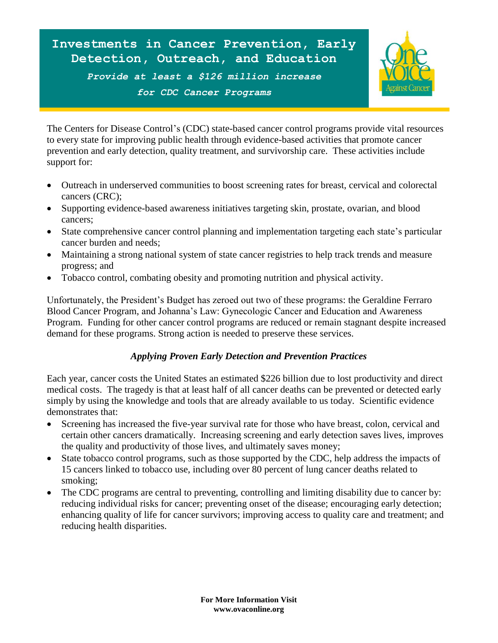

The Centers for Disease Control's (CDC) state-based cancer control programs provide vital resources to every state for improving public health through evidence-based activities that promote cancer prevention and early detection, quality treatment, and survivorship care. These activities include support for:

- Outreach in underserved communities to boost screening rates for breast, cervical and colorectal cancers (CRC);
- Supporting evidence-based awareness initiatives targeting skin, prostate, ovarian, and blood cancers;
- State comprehensive cancer control planning and implementation targeting each state's particular cancer burden and needs;
- Maintaining a strong national system of state cancer registries to help track trends and measure progress; and
- Tobacco control, combating obesity and promoting nutrition and physical activity.

Unfortunately, the President's Budget has zeroed out two of these programs: the Geraldine Ferraro Blood Cancer Program, and Johanna's Law: Gynecologic Cancer and Education and Awareness Program. Funding for other cancer control programs are reduced or remain stagnant despite increased demand for these programs. Strong action is needed to preserve these services.

## *Applying Proven Early Detection and Prevention Practices*

Each year, cancer costs the United States an estimated \$226 billion due to lost productivity and direct medical costs. The tragedy is that at least half of all cancer deaths can be prevented or detected early simply by using the knowledge and tools that are already available to us today. Scientific evidence demonstrates that:

- Screening has increased the five-year survival rate for those who have breast, colon, cervical and certain other cancers dramatically. Increasing screening and early detection saves lives, improves the quality and productivity of those lives, and ultimately saves money;
- State tobacco control programs, such as those supported by the CDC, help address the impacts of 15 cancers linked to tobacco use, including over 80 percent of lung cancer deaths related to smoking;
- The CDC programs are central to preventing, controlling and limiting disability due to cancer by: reducing individual risks for cancer; preventing onset of the disease; encouraging early detection; enhancing quality of life for cancer survivors; improving access to quality care and treatment; and reducing health disparities.